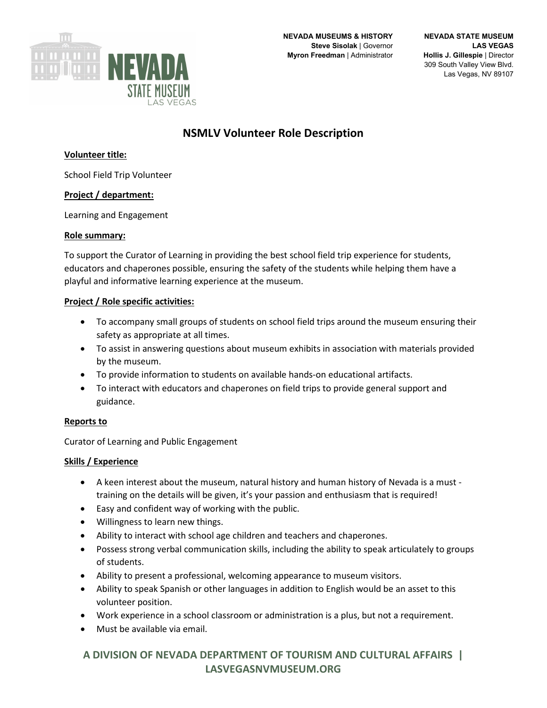

# **NSMLV Volunteer Role Description**

## **Volunteer title:**

School Field Trip Volunteer

## **Project / department:**

Learning and Engagement

#### **Role summary:**

To support the Curator of Learning in providing the best school field trip experience for students, educators and chaperones possible, ensuring the safety of the students while helping them have a playful and informative learning experience at the museum.

#### **Project / Role specific activities:**

- To accompany small groups of students on school field trips around the museum ensuring their safety as appropriate at all times.
- To assist in answering questions about museum exhibits in association with materials provided by the museum.
- To provide information to students on available hands-on educational artifacts.
- To interact with educators and chaperones on field trips to provide general support and guidance.

## **Reports to**

Curator of Learning and Public Engagement

#### **Skills / Experience**

- A keen interest about the museum, natural history and human history of Nevada is a must training on the details will be given, it's your passion and enthusiasm that is required!
- Easy and confident way of working with the public.
- Willingness to learn new things.
- Ability to interact with school age children and teachers and chaperones.
- Possess strong verbal communication skills, including the ability to speak articulately to groups of students.
- Ability to present a professional, welcoming appearance to museum visitors.
- Ability to speak Spanish or other languages in addition to English would be an asset to this volunteer position.
- Work experience in a school classroom or administration is a plus, but not a requirement.
- Must be available via email.

## **A DIVISION OF NEVADA DEPARTMENT OF TOURISM AND CULTURAL AFFAIRS | LASVEGASNVMUSEUM.ORG**